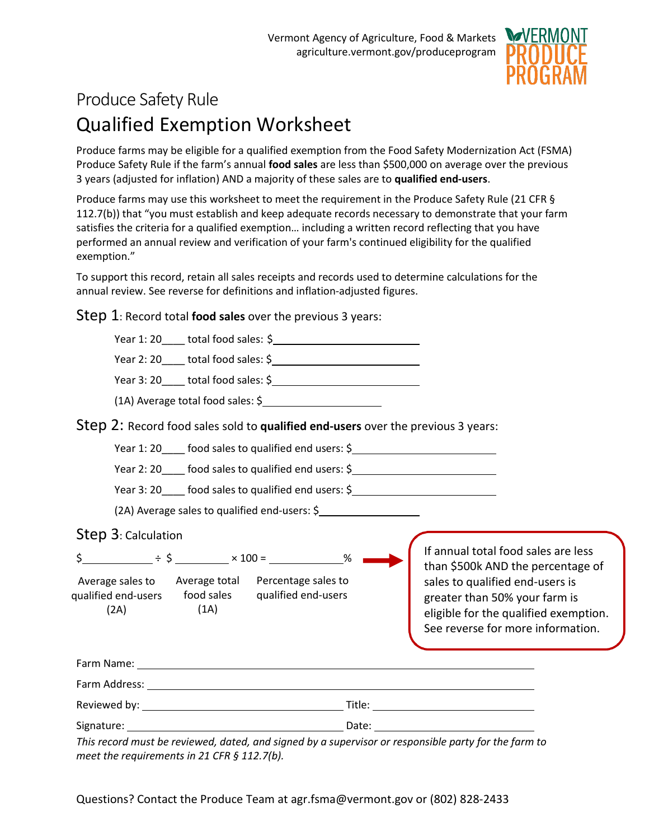

# Produce Safety Rule Qualified Exemption Worksheet

Produce farms may be eligible for a qualified exemption from the Food Safety Modernization Act (FSMA) Produce Safety Rule if the farm's annual **food sales** are less than \$500,000 on average over the previous 3 years (adjusted for inflation) AND a majority of these sales are to **qualified end-users**.

Produce farms may use this worksheet to meet the requirement in the Produce Safety Rule (21 CFR § 112.7(b)) that "you must establish and keep adequate records necessary to demonstrate that your farm satisfies the criteria for a qualified exemption… including a written record reflecting that you have performed an annual review and verification of your farm's continued eligibility for the qualified exemption."

To support this record, retain all sales receipts and records used to determine calculations for the annual review. See reverse for definitions and inflation-adjusted figures.

Step 1: Record total **food sales** over the previous 3 years:

|                                                            |      | (1A) Average total food sales: \$                                                                                                                                                                                                                                                                          |  |                                                                                                                                                |  |  |  |
|------------------------------------------------------------|------|------------------------------------------------------------------------------------------------------------------------------------------------------------------------------------------------------------------------------------------------------------------------------------------------------------|--|------------------------------------------------------------------------------------------------------------------------------------------------|--|--|--|
|                                                            |      | Step 2: Record food sales sold to qualified end-users over the previous 3 years:                                                                                                                                                                                                                           |  |                                                                                                                                                |  |  |  |
|                                                            |      | Year 1: 20____ food sales to qualified end users: \$_____________________________                                                                                                                                                                                                                          |  |                                                                                                                                                |  |  |  |
|                                                            |      | Year 2: 20 ____ food sales to qualified end users: \$ ___________________________                                                                                                                                                                                                                          |  |                                                                                                                                                |  |  |  |
|                                                            |      | Year 3: 20 _____ food sales to qualified end users: \$ __________________________                                                                                                                                                                                                                          |  |                                                                                                                                                |  |  |  |
|                                                            |      | (2A) Average sales to qualified end-users: \$                                                                                                                                                                                                                                                              |  |                                                                                                                                                |  |  |  |
| Step 3: Calculation                                        |      |                                                                                                                                                                                                                                                                                                            |  |                                                                                                                                                |  |  |  |
|                                                            |      | $\div$ $\div$ $\div$ $\div$ $\frac{100}{2}$ $\frac{1}{200}$ $\frac{1}{200}$ $\frac{1}{200}$ $\frac{1}{200}$ $\frac{1}{200}$ $\frac{1}{200}$ $\frac{1}{200}$ $\frac{1}{200}$ $\frac{1}{200}$ $\frac{1}{200}$ $\frac{1}{200}$ $\frac{1}{200}$ $\frac{1}{200}$ $\frac{1}{200}$ $\frac{1}{200}$ $\frac{1}{200$ |  | If annual total food sales are less<br>than \$500k AND the percentage of                                                                       |  |  |  |
| qualified end-users food sales qualified end-users<br>(2A) | (1A) | Average sales to Average total Percentage sales to                                                                                                                                                                                                                                                         |  | sales to qualified end-users is<br>greater than 50% your farm is<br>eligible for the qualified exemption.<br>See reverse for more information. |  |  |  |
|                                                            |      |                                                                                                                                                                                                                                                                                                            |  |                                                                                                                                                |  |  |  |
|                                                            |      |                                                                                                                                                                                                                                                                                                            |  |                                                                                                                                                |  |  |  |
|                                                            |      |                                                                                                                                                                                                                                                                                                            |  |                                                                                                                                                |  |  |  |
|                                                            |      |                                                                                                                                                                                                                                                                                                            |  |                                                                                                                                                |  |  |  |
| meet the requirements in 21 CFR § 112.7(b).                |      |                                                                                                                                                                                                                                                                                                            |  | This record must be reviewed, dated, and signed by a supervisor or responsible party for the farm to                                           |  |  |  |